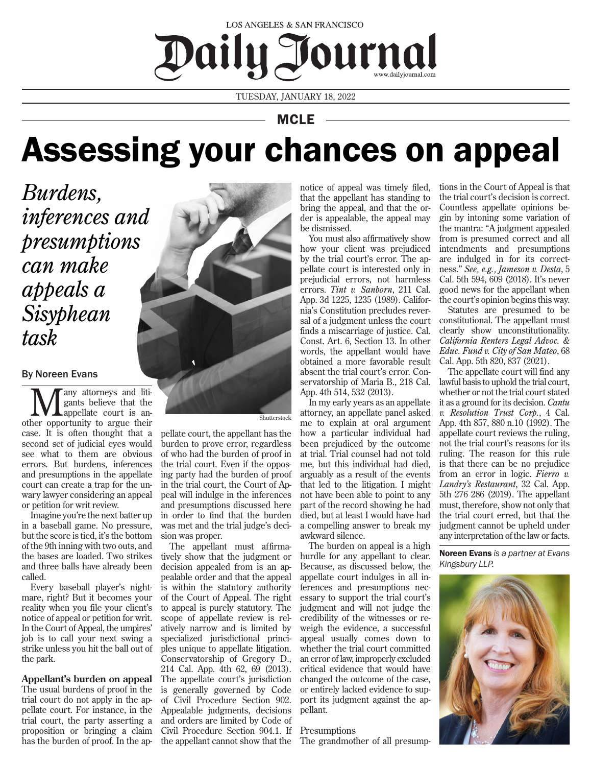

TUESDAY, JANUARY 18, 2022

# MCLE

# Assessing your chances on appeal

*Burdens, inferences and presumptions can make appeals a Sisyphean task*

# By Noreen Evans

**M** any attorneys and liti-<br>gants believe that the<br>other opportunity to argue their any attorneys and litigants believe that the appellate court is ancase. It is often thought that a second set of judicial eyes would see what to them are obvious errors. But burdens, inferences and presumptions in the appellate court can create a trap for the unwary lawyer considering an appeal or petition for writ review.

Imagine you're the next batter up in a baseball game. No pressure, but the score is tied, it's the bottom of the 9th inning with two outs, and the bases are loaded. Two strikes and three balls have already been called.

Every baseball player's nightmare, right? But it becomes your reality when you file your client's notice of appeal or petition for writ. In the Court of Appeal, the umpires' job is to call your next swing a strike unless you hit the ball out of the park.

# **Appellant's burden on appeal**

The usual burdens of proof in the trial court do not apply in the appellate court. For instance, in the trial court, the party asserting a proposition or bringing a claim has the burden of proof. In the ap-



Shutterstock

pellate court, the appellant has the burden to prove error, regardless of who had the burden of proof in the trial court. Even if the opposing party had the burden of proof in the trial court, the Court of Appeal will indulge in the inferences and presumptions discussed here in order to find that the burden was met and the trial judge's decision was proper.

The appellant must affirmatively show that the judgment or decision appealed from is an appealable order and that the appeal is within the statutory authority of the Court of Appeal. The right to appeal is purely statutory. The scope of appellate review is relatively narrow and is limited by specialized jurisdictional principles unique to appellate litigation. Conservatorship of Gregory D., 214 Cal. App. 4th 62, 69 (2013). The appellate court's jurisdiction is generally governed by Code of Civil Procedure Section 902. Appealable judgments, decisions and orders are limited by Code of Civil Procedure Section 904.1. If the appellant cannot show that the notice of appeal was timely filed, that the appellant has standing to bring the appeal, and that the order is appealable, the appeal may be dismissed.

You must also affirmatively show how your client was prejudiced by the trial court's error. The appellate court is interested only in prejudicial errors, not harmless errors. *Tint v. Sanborn*, 211 Cal. App. 3d 1225, 1235 (1989). California's Constitution precludes reversal of a judgment unless the court finds a miscarriage of justice. Cal. Const. Art. 6, Section 13. In other words, the appellant would have obtained a more favorable result absent the trial court's error. Conservatorship of Maria B., 218 Cal. App. 4th 514, 532 (2013).

In my early years as an appellate attorney, an appellate panel asked me to explain at oral argument how a particular individual had been prejudiced by the outcome at trial. Trial counsel had not told me, but this individual had died, arguably as a result of the events that led to the litigation. I might not have been able to point to any part of the record showing he had died, but at least I would have had a compelling answer to break my awkward silence.

The burden on appeal is a high hurdle for any appellant to clear. Because, as discussed below, the appellate court indulges in all inferences and presumptions necessary to support the trial court's judgment and will not judge the credibility of the witnesses or reweigh the evidence, a successful appeal usually comes down to whether the trial court committed an error of law, improperly excluded critical evidence that would have changed the outcome of the case, or entirely lacked evidence to support its judgment against the appellant.

# **Presumptions**

The grandmother of all presump-

tions in the Court of Appeal is that the trial court's decision is correct. Countless appellate opinions begin by intoning some variation of the mantra: "A judgment appealed from is presumed correct and all intendments and presumptions are indulged in for its correctness." *See, e.g., Jameson v. Desta*, 5 Cal. 5th 594, 609 (2018). It's never good news for the appellant when the court's opinion begins this way.

Statutes are presumed to be constitutional. The appellant must clearly show unconstitutionality. *California Renters Legal Advoc. & Educ. Fund v. City of San Mateo*, 68 Cal. App. 5th 820, 837 (2021).

The appellate court will find any lawful basis to uphold the trial court, whether or not the trial court stated it as a ground for its decision. *Cantu v. Resolution Trust Corp.*, 4 Cal. App. 4th 857, 880 n.10 (1992). The appellate court reviews the ruling, not the trial court's reasons for its ruling. The reason for this rule is that there can be no prejudice from an error in logic. *Fierro v. Landry's Restaurant*, 32 Cal. App. 5th 276 286 (2019). The appellant must, therefore, show not only that the trial court erred, but that the judgment cannot be upheld under any interpretation of the law or facts.

Noreen Evans *is a partner at Evans Kingsbury LLP.*